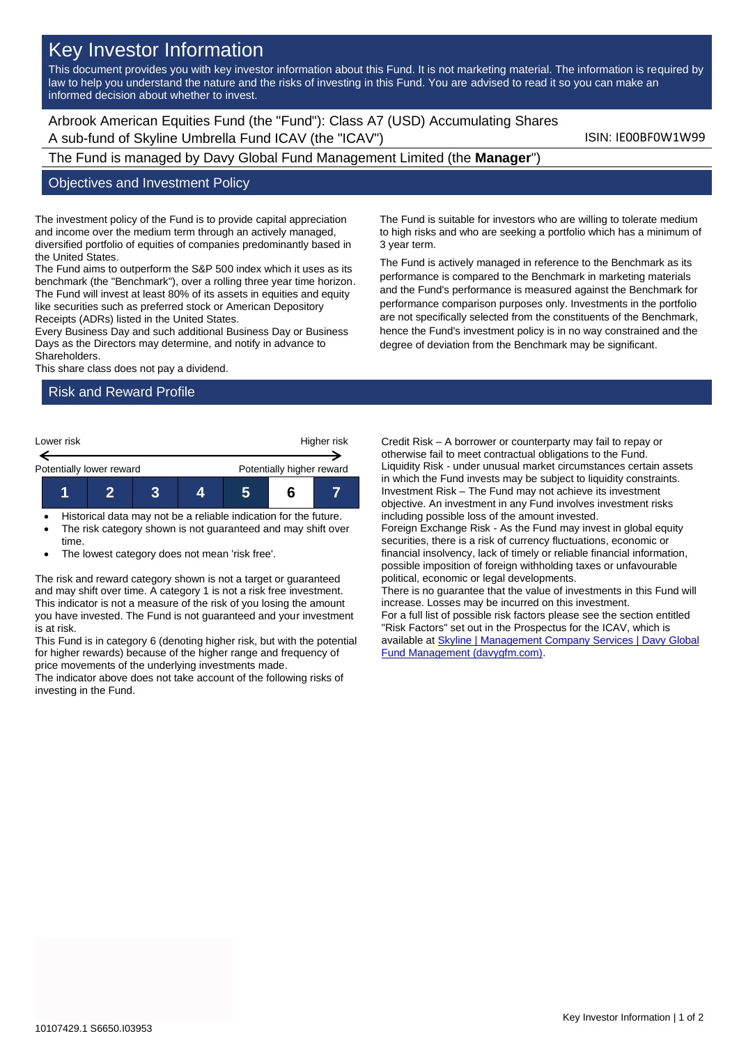# Key Investor Information

This document provides you with key investor information about this Fund. It is not marketing material. The information is required by law to help you understand the nature and the risks of investing in this Fund. You are advised to read it so you can make an informed decision about whether to invest.

Arbrook American Equities Fund (the "Fund"): Class A7 (USD) Accumulating Shares A sub-fund of Skyline Umbrella Fund ICAV (the "ICAV") ISIN: IE00BF0W1W99

The Fund is managed by Davy Global Fund Management Limited (the **Manager**")

#### Objectives and Investment Policy

The investment policy of the Fund is to provide capital appreciation and income over the medium term through an actively managed, diversified portfolio of equities of companies predominantly based in the United States.

The Fund aims to outperform the S&P 500 index which it uses as its benchmark (the "Benchmark"), over a rolling three year time horizon. The Fund will invest at least 80% of its assets in equities and equity like securities such as preferred stock or American Depository Receipts (ADRs) listed in the United States.

Every Business Day and such additional Business Day or Business Days as the Directors may determine, and notify in advance to Shareholders.

This share class does not pay a dividend.

### Risk and Reward Profile



- Historical data may not be a reliable indication for the future.
- The risk category shown is not guaranteed and may shift over time.
- The lowest category does not mean 'risk free'.

The risk and reward category shown is not a target or guaranteed and may shift over time. A category 1 is not a risk free investment. This indicator is not a measure of the risk of you losing the amount you have invested. The Fund is not guaranteed and your investment is at risk.

This Fund is in category 6 (denoting higher risk, but with the potential for higher rewards) because of the higher range and frequency of price movements of the underlying investments made.

The indicator above does not take account of the following risks of investing in the Fund.

The Fund is suitable for investors who are willing to tolerate medium to high risks and who are seeking a portfolio which has a minimum of 3 year term.

The Fund is actively managed in reference to the Benchmark as its performance is compared to the Benchmark in marketing materials and the Fund's performance is measured against the Benchmark for performance comparison purposes only. Investments in the portfolio are not specifically selected from the constituents of the Benchmark, hence the Fund's investment policy is in no way constrained and the degree of deviation from the Benchmark may be significant.

Credit Risk – A borrower or counterparty may fail to repay or otherwise fail to meet contractual obligations to the Fund. Liquidity Risk - under unusual market circumstances certain assets in which the Fund invests may be subject to liquidity constraints. Investment Risk – The Fund may not achieve its investment objective. An investment in any Fund involves investment risks including possible loss of the amount invested. Foreign Exchange Risk - As the Fund may invest in global equity securities, there is a risk of currency fluctuations, economic or financial insolvency, lack of timely or reliable financial information, possible imposition of foreign withholding taxes or unfavourable political, economic or legal developments. There is no guarantee that the value of investments in this Fund will increase. Losses may be incurred on this investment. For a full list of possible risk factors please see the section entitled "Risk Factors" set out in the Prospectus for the ICAV, which is available a[t Skyline | Management Company Services | Davy Global](https://www.davygfm.com/funds-factsheets/management-company-services/ireland/skyline.html)  [Fund Management \(davygfm.com\).](https://www.davygfm.com/funds-factsheets/management-company-services/ireland/skyline.html)